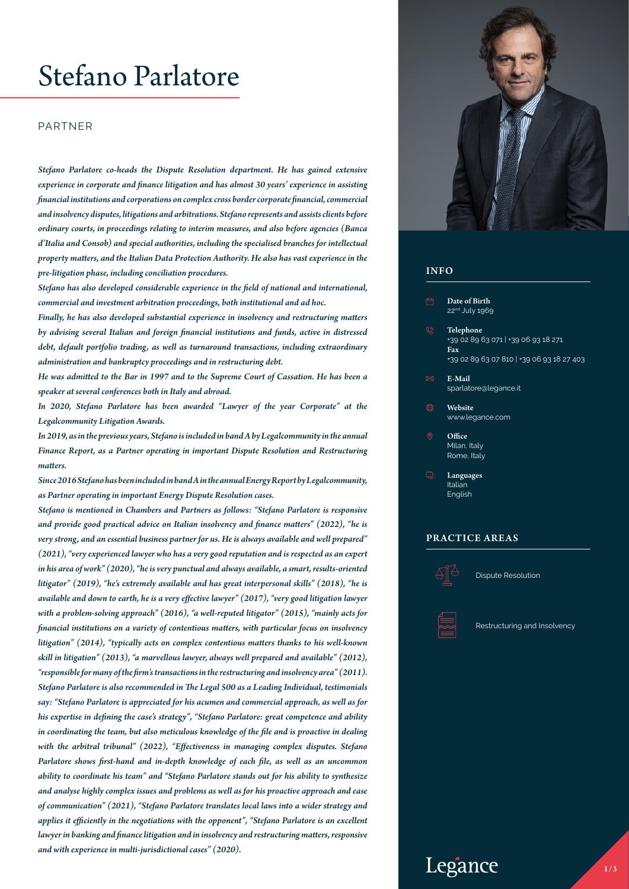# Stefano Parlatore

#### PARTNER

*Stefano Parlatore co-heads the Dispute Resolution department. He has gained extensive experience in corporate and finance litigation and has almost 30 years' experience in assisting financial institutions and corporations on complex cross border corporate financial, commercial and insolvency disputes, litigations and arbitrations. Stefano represents and assists clients before ordinary courts, in proceedings relating to interim measures, and also before agencies (Banca d'Italia and Consob) and special authorities, including the specialised branches for intellectual property matters, and the Italian Data Protection Authority. He also has vast experience in the pre-litigation phase, including conciliation procedures.* 

*Stefano has also developed considerable experience in the field of national and international, commercial and investment arbitration proceedings, both institutional and ad hoc.*

*Finally, he has also developed substantial experience in insolvency and restructuring matters by advising several Italian and foreign financial institutions and funds, active in distressed debt, default portfolio trading, as well as turnaround transactions, including extraordinary administration and bankruptcy proceedings and in restructuring debt.* 

*He was admitted to the Bar in 1997 and to the Supreme Court of Cassation. He has been a speaker at several conferences both in Italy and abroad.*

*In 2020, Stefano Parlatore has been awarded "Lawyer of the year Corporate" at the Legalcommunity Litigation Awards.*

*In 2019, as in the previous years, Stefano is included in band A by Legalcommunity in the annual Finance Report, as a Partner operating in important Dispute Resolution and Restructuring matters.*

*Since 2016 Stefano has been included in band A in the annual Energy Report by Legalcommunity, as Partner operating in important Energy Dispute Resolution cases.*

*Stefano is mentioned in Chambers and Partners as follows: "Stefano Parlatore is responsive and provide good practical advice on Italian insolvency and finance matters" (2022), "he is very strong, and an essential business partner for us. He is always available and well prepared" (2021), "very experienced lawyer who has a very good reputation and is respected as an expert in his area of work" (2020), "he is very punctual and always available, a smart, results-oriented litigator" (2019), "he's extremely available and has great interpersonal skills" (2018), "he is available and down to earth, he is a very effective lawyer" (2017), "very good litigation lawyer with a problem-solving approach" (2016), "a well-reputed litigator" (2015), "mainly acts for financial institutions on a variety of contentious matters, with particular focus on insolvency litigation" (2014), "typically acts on complex contentious matters thanks to his well-known skill in litigation" (2013), "a marvellous lawyer, always well prepared and available" (2012), "responsible for many of the firm's transactions in the restructuring and insolvency area" (2011). Stefano Parlatore is also recommended in The Legal 500 as a Leading Individual, testimonials say: "Stefano Parlatore is appreciated for his acumen and commercial approach, as well as for his expertise in defining the case's strategy", "Stefano Parlatore: great competence and ability in coordinating the team, but also meticulous knowledge of the file and is proactive in dealing with the arbitral tribunal" (2022), "Effectiveness in managing complex disputes. Stefano Parlatore shows first-hand and in-depth knowledge of each file, as well as an uncommon ability to coordinate his team" and "Stefano Parlatore stands out for his ability to synthesize and analyse highly complex issues and problems as well as for his proactive approach and ease of communication" (2021), "Stefano Parlatore translates local laws into a wider strategy and applies it efficiently in the negotiations with the opponent", "Stefano Parlatore is an excellent lawyer in banking and finance litigation and in insolvency and restructuring matters, responsive and with experience in multi-jurisdictional cases" (2020).*



#### INFO

- Date of Birth 22nd July 1969
- Telephone +39 02 89 63 071 | +39 06 93 18 271 Fax +39 02 89 63 07 810 | +39 06 93 18 27 403
- E-Mail sparlatore@legance.it
- Website www.legance.com
	- **Office** Milan, Italy Rome, Italy
- Languages Italian English

#### PRACTICE AREAS



Dispute Resolution



Restructuring and Insolvency

# Legance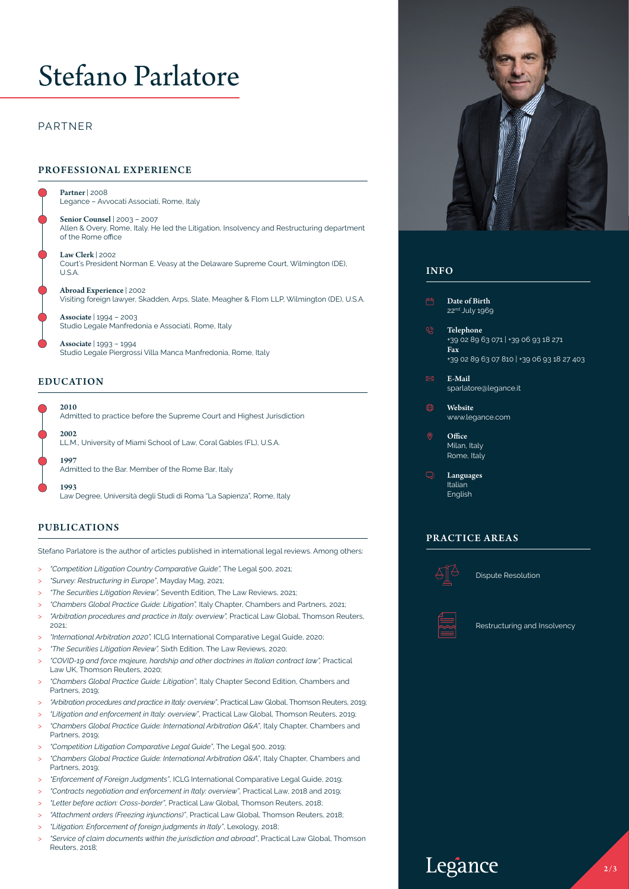# Stefano Parlatore

## PARTNER

### PROFESSIONAL EXPERIENCE

Partner | 2008 Legance – Avvocati Associati, Rome, Italy

Senior Counsel | 2003 – 2007 Allen & Overy, Rome, Italy. He led the Litigation, Insolvency and Restructuring department of the Rome office

Law Clerk | 2002 Court's President Norman E. Veasy at the Delaware Supreme Court, Wilmington (DE), U.S.A.

Abroad Experience | 2002 Visiting foreign lawyer, Skadden, Arps, Slate, Meagher & Flom LLP, Wilmington (DE), U.S.A.

Associate | 1994 – 2003 Studio Legale Manfredonia e Associati, Rome, Italy

Associate | 1993 – 1994 Studio Legale Piergrossi Villa Manca Manfredonia, Rome, Italy

#### EDUCATION

2010

Admitted to practice before the Supreme Court and Highest Jurisdiction

2002 LL.M., University of Miami School of Law, Coral Gables (FL), U.S.A.

1997 Admitted to the Bar. Member of the Rome Bar, Italy

1993 Law Degree, Università degli Studi di Roma "La Sapienza", Rome, Italy

#### PUBLICATIONS

Stefano Parlatore is the author of articles published in international legal reviews. Among others:

- > *"Competition Litigation Country Comparative Guide",* The Legal 500, 2021;
- > *"Survey: Restructuring in Europe"*, Mayday Mag, 2021;
- > *"The Securities Litigation Review",* Seventh Edition, The Law Reviews, 2021;
- > *"Chambers Global Practice Guide: Litigation",* Italy Chapter, Chambers and Partners, 2021;
- > *"Arbitration procedures and practice in Italy: overview",* Practical Law Global, Thomson Reuters, 2021;
- > *"International Arbitration 2020",* ICLG International Comparative Legal Guide, 2020;
- > *"The Securities Litigation Review",* Sixth Edition, The Law Reviews, 2020;
- > *"COVID-19 and force majeure, hardship and other doctrines in Italian contract law",* Practical Law UK, Thomson Reuters, 2020;
- > *"Chambers Global Practice Guide: Litigation"*, Italy Chapter Second Edition, Chambers and Partners, 2019
- > *"Arbitration procedures and practice in Italy: overview"*, Practical Law Global, Thomson Reuters, 2019;
- > *"Litigation and enforcement in Italy: overview"*, Practical Law Global, Thomson Reuters, 2019;
- > *"Chambers Global Practice Guide: International Arbitration Q&A"*, Italy Chapter, Chambers and Partners, 2019;
- > *"Competition Litigation Comparative Legal Guide"*, The Legal 500, 2019;
- > *"Chambers Global Practice Guide: International Arbitration Q&A"*, Italy Chapter, Chambers and Partners, 2019;
- > *"Enforcement of Foreign Judgments"*, ICLG International Comparative Legal Guide, 2019;
- > *"Contracts negotiation and enforcement in Italy: overview"*, Practical Law, 2018 and 2019;
- > *"Letter before action: Cross-border"*, Practical Law Global, Thomson Reuters, 2018;
- > *"Attachment orders (Freezing injunctions)"*, Practical Law Global, Thomson Reuters, 2018;
- > *"Litigation: Enforcement of foreign judgments in Italy"*, Lexology, 2018;
- > *"Service of claim documents within the jurisdiction and abroad"*, Practical Law Global, Thomson Reuters, 2018;



#### INFO

- Date of Birth 22nd July 1969
- Telephone +39 02 89 63 071 | +39 06 93 18 271 Fax +39 02 89 63 07 810 | +39 06 93 18 27 403
- E-Mail sparlatore@legance.it
- Website www.legance.com
	- **Office** Milan, Italy Rome, Italy
- Languages Italian English

### PRACTICE AREAS



Dispute Resolution



Restructuring and Insolvency